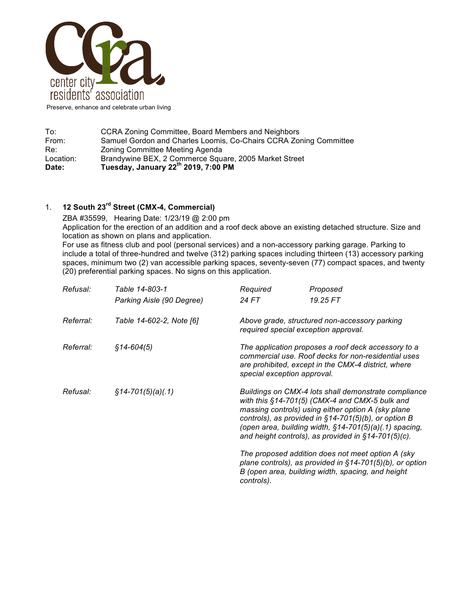

Preserve, enhance and celebrate urban living

To: CCRA Zoning Committee, Board Members and Neighbors<br>From: Samuel Gordon and Charles Loomis, Co-Chairs CCRA Zor Samuel Gordon and Charles Loomis, Co-Chairs CCRA Zoning Committee Re: The Exercing Committee Meeting Agenda<br>
Location: Erandywine BEX, 2 Commerce Squ Brandywine BEX, 2 Commerce Square, 2005 Market Street **Date: Tuesday, January 22th 2019, 7:00 PM**

# 1. **12 South 23rd Street (CMX-4, Commercial)**

ZBA #35599, Hearing Date: 1/23/19 @ 2:00 pm Application for the erection of an addition and a roof deck above an existing detached structure. Size and location as shown on plans and application.

For use as fitness club and pool (personal services) and a non-accessory parking garage. Parking to include a total of three-hundred and twelve (312) parking spaces including thirteen (13) accessory parking spaces, minimum two (2) van accessible parking spaces, seventy-seven (77) compact spaces, and twenty (20) preferential parking spaces. No signs on this application.

| Refusal:  | Table 14-803-1            | Required                                                                                                                                                                                         | Proposed                                                                                                                                                                                                                                                                                                                                    |  |
|-----------|---------------------------|--------------------------------------------------------------------------------------------------------------------------------------------------------------------------------------------------|---------------------------------------------------------------------------------------------------------------------------------------------------------------------------------------------------------------------------------------------------------------------------------------------------------------------------------------------|--|
|           | Parking Aisle (90 Degree) | 24 FT                                                                                                                                                                                            | 19.25 FT                                                                                                                                                                                                                                                                                                                                    |  |
| Referral: | Table 14-602-2, Note [6]  |                                                                                                                                                                                                  | Above grade, structured non-accessory parking<br>required special exception approval.                                                                                                                                                                                                                                                       |  |
| Referral: | $$14-604(5)$              | The application proposes a roof deck accessory to a<br>commercial use. Roof decks for non-residential uses<br>are prohibited, except in the CMX-4 district, where<br>special exception approval. |                                                                                                                                                                                                                                                                                                                                             |  |
| Refusal:  | $\S$ 14-701(5)(a)(.1)     |                                                                                                                                                                                                  | Buildings on CMX-4 lots shall demonstrate compliance<br>with this §14-701(5) (CMX-4 and CMX-5 bulk and<br>massing controls) using either option A (sky plane<br>controls), as provided in $§14-701(5)(b)$ , or option B<br>(open area, building width, §14-701(5)(a)(.1) spacing,<br>and height controls), as provided in $§14-701(5)(c)$ . |  |
|           |                           | controls).                                                                                                                                                                                       | The proposed addition does not meet option A (sky<br>plane controls), as provided in $§14-701(5)(b)$ , or option<br>B (open area, building width, spacing, and height                                                                                                                                                                       |  |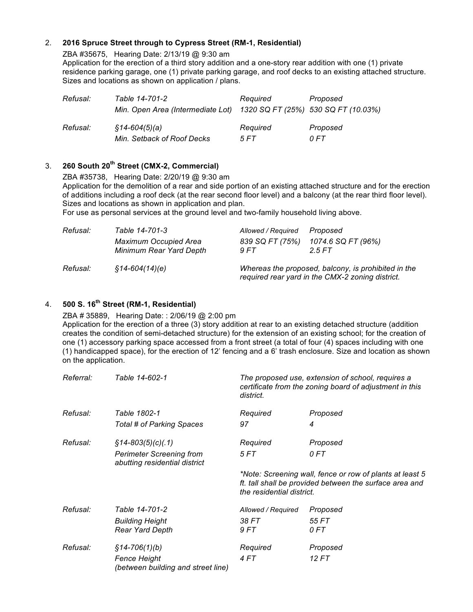#### 2. **2016 Spruce Street through to Cypress Street (RM-1, Residential)**

ZBA #35675, Hearing Date: 2/13/19 @ 9:30 am

Application for the erection of a third story addition and a one-story rear addition with one (1) private residence parking garage, one (1) private parking garage, and roof decks to an existing attached structure. Sizes and locations as shown on application / plans.

| Refusal: | Table 14-701-2<br>Min. Open Area (Intermediate Lot) 1320 SQ FT (25%) 530 SQ FT (10.03%) | Required | Proposed |
|----------|-----------------------------------------------------------------------------------------|----------|----------|
| Refusal: | §14-604(5)(a)                                                                           | Required | Proposed |
|          | Min. Setback of Roof Decks                                                              | 5 FT     | 0 FT     |

### 3. **260 South 20th Street (CMX-2, Commercial)**

ZBA #35738, Hearing Date: 2/20/19 @ 9:30 am

Application for the demolition of a rear and side portion of an existing attached structure and for the erection of additions including a roof deck (at the rear second floor level) and a balcony (at the rear third floor level). Sizes and locations as shown in application and plan.

For use as personal services at the ground level and two-family household living above.

| Refusal: | Table 14-701-3                                          | Allowed / Required                                                                                      | Proposed                    |
|----------|---------------------------------------------------------|---------------------------------------------------------------------------------------------------------|-----------------------------|
|          | <b>Maximum Occupied Area</b><br>Minimum Rear Yard Depth | 839 SQ FT (75%)<br>9FT                                                                                  | 1074.6 SQ FT (96%)<br>25 FT |
| Refusal: | \$14-604(14)(e)                                         | Whereas the proposed, balcony, is prohibited in the<br>required rear yard in the CMX-2 zoning district. |                             |

## 4. **500 S. 16th Street (RM-1, Residential)**

ZBA # 35889, Hearing Date: : 2/06/19 @ 2:00 pm

Application for the erection of a three (3) story addition at rear to an existing detached structure (addition creates the condition of semi-detached structure) for the extension of an existing school; for the creation of one (1) accessory parking space accessed from a front street (a total of four (4) spaces including with one (1) handicapped space), for the erection of 12' fencing and a 6' trash enclosure. Size and location as shown on the application.

| Referral: | Table 14-602-1                                                   | district.                 | The proposed use, extension of school, requires a<br>certificate from the zoning board of adjustment in this        |
|-----------|------------------------------------------------------------------|---------------------------|---------------------------------------------------------------------------------------------------------------------|
| Refusal:  | Table 1802-1                                                     | Required                  | Proposed                                                                                                            |
|           | Total # of Parking Spaces                                        | 97                        | 4                                                                                                                   |
| Refusal:  | $$14 - 803(5)(c)(.1)$                                            | Required                  | Proposed                                                                                                            |
|           | <b>Perimeter Screening from</b><br>abutting residential district | 5 FT                      | 0 FT                                                                                                                |
|           |                                                                  | the residential district. | *Note: Screening wall, fence or row of plants at least 5<br>ft. tall shall be provided between the surface area and |
| Refusal:  | Table 14-701-2                                                   | Allowed / Required        | Proposed                                                                                                            |
|           | <b>Building Height</b><br><b>Rear Yard Depth</b>                 | 38 FT<br>9 FT             | 55 FT<br>0 FT                                                                                                       |
| Refusal:  | $§14 - 706(1)(b)$                                                | Required                  | Proposed                                                                                                            |
|           | <b>Fence Height</b><br>(between building and street line)        | 4 FT                      | 12 FT                                                                                                               |